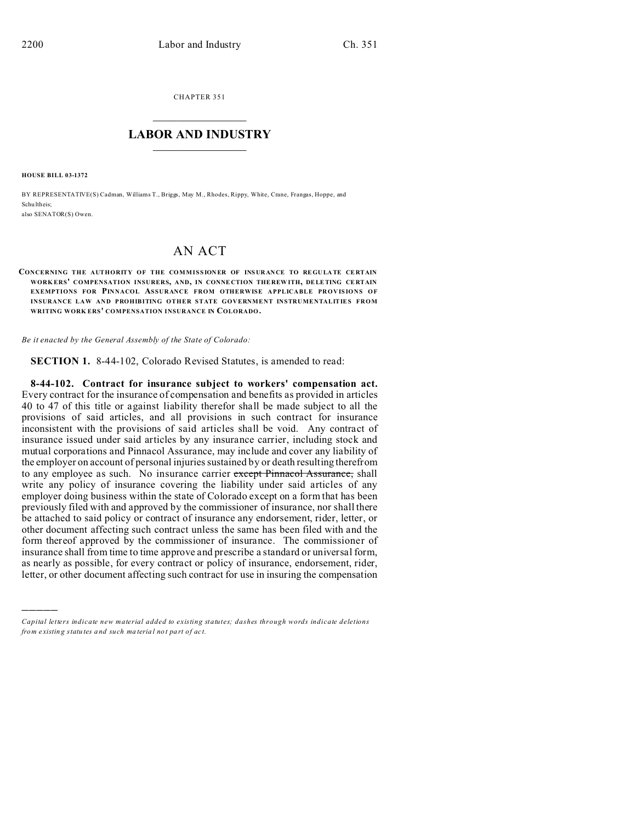CHAPTER 351  $\overline{\phantom{a}}$  , where  $\overline{\phantom{a}}$ 

## **LABOR AND INDUSTRY**  $\frac{1}{\sqrt{2}}$  ,  $\frac{1}{\sqrt{2}}$  ,  $\frac{1}{\sqrt{2}}$  ,  $\frac{1}{\sqrt{2}}$  ,  $\frac{1}{\sqrt{2}}$  ,  $\frac{1}{\sqrt{2}}$

**HOUSE BILL 03-1372**

)))))

BY REPRESENTATIVE(S) Cadman, Williams T., Briggs, May M., Rhodes, Rippy, White, Crane, Frangas, Hoppe, and Schu ltheis; also SENATOR(S) Owen.

## AN ACT

## **CONCERNING THE AUTHORITY OF THE COMMISSIONER OF INSURANCE TO REGULATE CERTAIN WORK ERS' COMPENSATION INSURERS, AND, IN CONNE CTION THE REW ITH, DELETING CE RTAIN EXEMPTIONS FOR PINNACOL ASSURANCE FROM OTHERWISE APPLICABLE PROVISIONS OF INSURANCE LAW AND PROHIBITING OTHER STATE GOVERNMENT INSTRUMENTALITIES FROM WRITING WORK ERS' COMPENSATION INSURANCE IN COLORADO.**

*Be it enacted by the General Assembly of the State of Colorado:*

**SECTION 1.** 8-44-102, Colorado Revised Statutes, is amended to read:

**8-44-102. Contract for insurance subject to workers' compensation act.** Every contract for the insurance of compensation and benefits as provided in articles 40 to 47 of this title or against liability therefor shall be made subject to all the provisions of said articles, and all provisions in such contract for insurance inconsistent with the provisions of said articles shall be void. Any contract of insurance issued under said articles by any insurance carrier, including stock and mutual corporations and Pinnacol Assurance, may include and cover any liability of the employer on account of personal injuries sustained by or death resulting therefrom to any employee as such. No insurance carrier except Pinnacol Assurance, shall write any policy of insurance covering the liability under said articles of any employer doing business within the state of Colorado except on a form that has been previously filed with and approved by the commissioner of insurance, nor shall there be attached to said policy or contract of insurance any endorsement, rider, letter, or other document affecting such contract unless the same has been filed with and the form thereof approved by the commissioner of insurance. The commissioner of insurance shall from time to time approve and prescribe a standard or universal form, as nearly as possible, for every contract or policy of insurance, endorsement, rider, letter, or other document affecting such contract for use in insuring the compensation

*Capital letters indicate new material added to existing statutes; dashes through words indicate deletions from e xistin g statu tes a nd such ma teria l no t pa rt of ac t.*